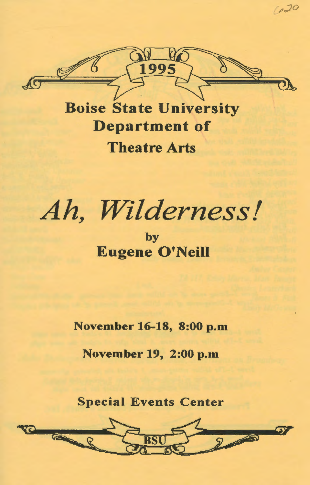

Boise State University Department of Theatre Arts

*Ah, Wilderness I* 

by Eugene O'Neill

November 16-18, 8:00 p.m

November 19, 2:00 p.m

Special Events Center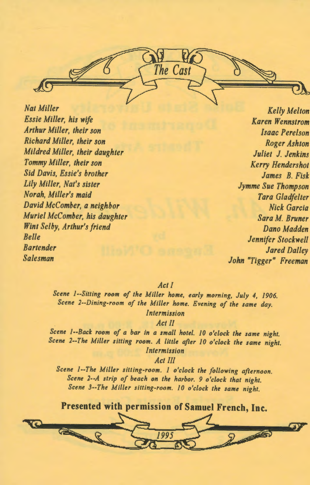*Nat Miller Essie Miller, his wife Arthur Miller, their son Richard Miller, their son Mildred Miller, their daughter Tommy Miller, their son Sid Davis, Essie's brother Lily Miller, Nat's sister Norah, Miller's maid David McComber, a neighbor Muriel McComber, his daughter Wint Selby, Arthur's friend Belle Bartender Salesman* 

*Kelly Melton Karen Wennstrom Isaac Perelson Roger Ashton Juliet* J. *Jenkins Kerry Hendershot James B. Fisli Jymme Sue Thompson Tara Gladfelter, Nick Garcia Sara M. Bruner Dana Madden Jennifer Stockwell Jared Dalley John "Tigger" Freeman* 

## *Act/*

The Cast

*Scene ]--Sitting room of the Miller home, early morning, July 4, 1906. Scene 2--Dining-room of the Miller home. Evening of the same day. Intermission* 

*Act II* 

*Scene 1--Back room of a bar in a small hotel. 10 o'clock the same night. Scene 2--The Miller sitting room. A little after 10 o'clock the same night. Intermission* 

*Act Ill* 

*Scene 1--The Miller sitting-room. 1 o'clock the following afternoon. Scene 2--A strip of beach on the harbor. 9 o'clock that night. Scene 3--The Miller sitting-room. 10 o'clock the same night.* 



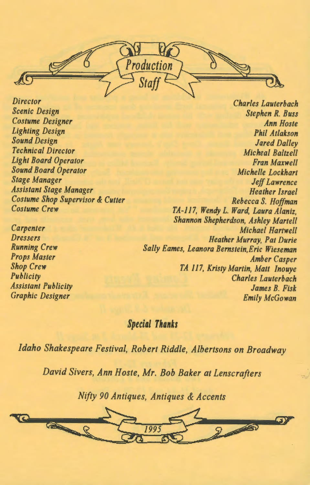Production

*Director Scenic Design Costume Designer Lighting Design Sound Design Technical Director Light Board Operator Sound Board Operator Stage Manager Assistant Stage Manager Costume Shop Supervisor* & *Cutter Costume Crew* 

*Carpenter Dressers Running Crew Props Master Shop Crew Publicity Assistant Publicity Graphic Designer* 

*Charles Lauterbach Stephen R. Buss Ann Hoste Phil Atlakson Jared Dalley Micheal Baltzell Fran Maxwell Michelle Lockhart Jeff Lawrence Heather Israel Rebecca S. Hoffman TA-117, Wendy L. Ward, Laura Alaniz, Shannon Shepherdson, Ashley Martell Michael Hartwell Heather Murray, Pat Durie Sally Eames, Leanora Bernstein,Eric Wieseman Amber Casper TA 117, Kristy Martin, Matt Inouye Charles Lauterbach James B. Fisk Emily McGowan* 

## *Special Thanks*

*Idaho Shakespeare Festival, Robert Riddle, Albertsons on Broadway* 

*David Sivers, Ann Hoste, Mr. Bob Baker at Lenscrafters* 

*Nifty 90 Antiques, Antiques* & *Accents* 

<sup>~</sup> a 8 1995 2 2 3 37